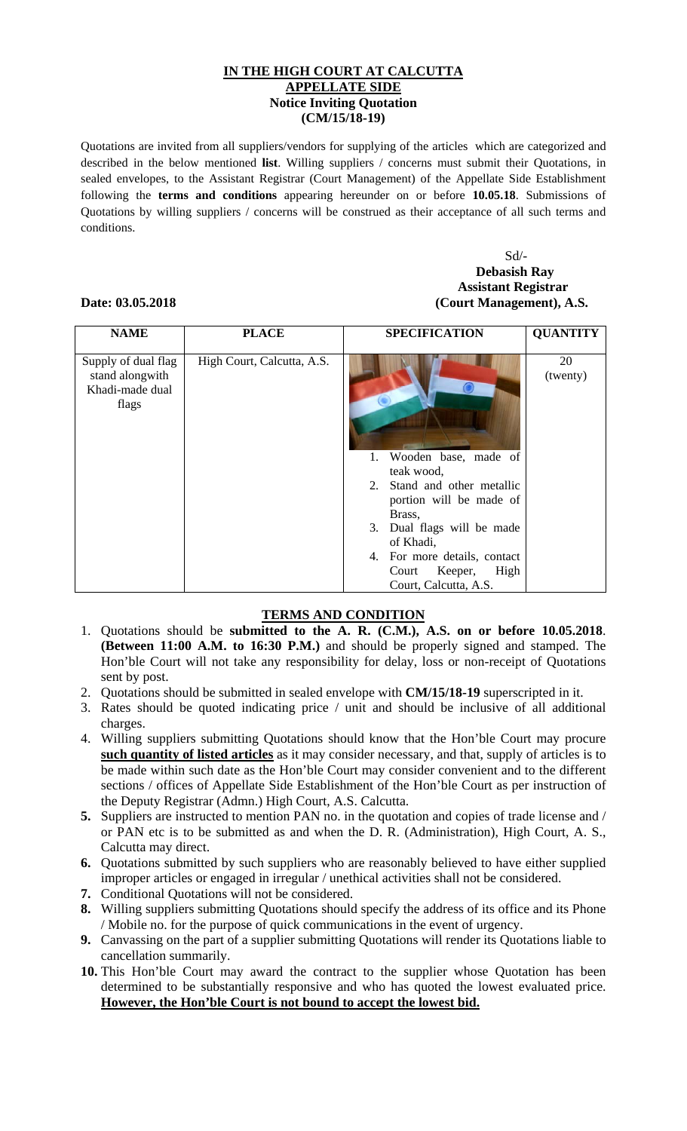## **IN THE HIGH COURT AT CALCUTTA APPELLATE SIDE Notice Inviting Quotation (CM/15/18-19)**

Quotations are invited from all suppliers/vendors for supplying of the articles which are categorized and described in the below mentioned **list**. Willing suppliers / concerns must submit their Quotations, in sealed envelopes, to the Assistant Registrar (Court Management) of the Appellate Side Establishment following the **terms and conditions** appearing hereunder on or before **10.05.18**. Submissions of Quotations by willing suppliers / concerns will be construed as their acceptance of all such terms and conditions.

### Sd/- **Debasish Ray Assistant Registrar Date: 03.05.2018 (Court Management), A.S.**

### **NAME PLACE SPECIFICATION QUANTITY**  Supply of dual flag stand alongwith Khadi-made dual flags High Court, Calcutta, A.S. 1. Wooden base, made of teak wood, 2. Stand and other metallic portion will be made of Brass, 3. Dual flags will be made of Khadi, 4. For more details, contact Court Keeper, High Court, Calcutta, A.S. 20 (twenty)

# **TERMS AND CONDITION**

- 1. Quotations should be **submitted to the A. R. (C.M.), A.S. on or before 10.05.2018**. **(Between 11:00 A.M. to 16:30 P.M.)** and should be properly signed and stamped. The Hon'ble Court will not take any responsibility for delay, loss or non-receipt of Quotations sent by post.
- 2. Quotations should be submitted in sealed envelope with **CM/15/18-19** superscripted in it.
- 3. Rates should be quoted indicating price / unit and should be inclusive of all additional charges.
- 4. Willing suppliers submitting Quotations should know that the Hon'ble Court may procure **such quantity of listed articles** as it may consider necessary, and that, supply of articles is to be made within such date as the Hon'ble Court may consider convenient and to the different sections / offices of Appellate Side Establishment of the Hon'ble Court as per instruction of the Deputy Registrar (Admn.) High Court, A.S. Calcutta.
- **5.** Suppliers are instructed to mention PAN no. in the quotation and copies of trade license and / or PAN etc is to be submitted as and when the D. R. (Administration), High Court, A. S., Calcutta may direct.
- **6.** Quotations submitted by such suppliers who are reasonably believed to have either supplied improper articles or engaged in irregular / unethical activities shall not be considered.
- **7.** Conditional Quotations will not be considered.
- **8.** Willing suppliers submitting Quotations should specify the address of its office and its Phone / Mobile no. for the purpose of quick communications in the event of urgency.
- **9.** Canvassing on the part of a supplier submitting Quotations will render its Quotations liable to cancellation summarily.
- **10.** This Hon'ble Court may award the contract to the supplier whose Quotation has been determined to be substantially responsive and who has quoted the lowest evaluated price. **However, the Hon'ble Court is not bound to accept the lowest bid.**